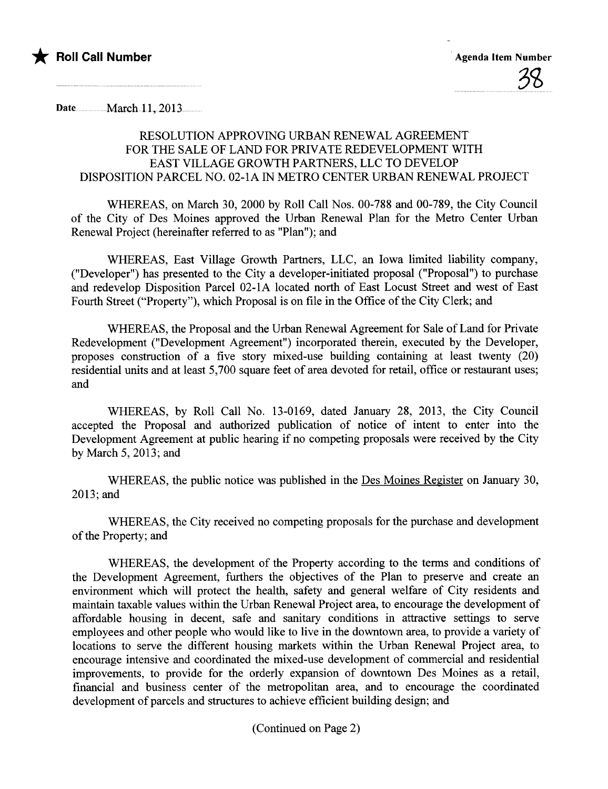

Date.............. March 11, 2013..........

## RESOLUTION APPROVING URBAN RENEWAL AGREEMENT FOR THE SALE OF LAND FOR PRIVATE REDEVELOPMENT WITH EAST VILLAGE GROWTH PARTNERS, LLC TO DEVELOP DISPOSITION PARCEL NO. 02-1A IN METRO CENTER URBAN RENEWAL PROJECT

WHEREAS, on March 30, 2000 by Roll Call Nos. 00-788 and 00-789, the City Council of the City of Des Moines approved the Urban Renewal Plan for the Metro Center Urban Renewal Project (hereinafter referred to as "Plan"); and

WHEREAS, East Vilage Growth Parners, LLC, an Iowa limited liabilty company, ("Developer") has presented to the City a developer-initiated proposal ("Proposal") to purchase and redevelop Disposition Parcel 02-1A located north of East Locust Street and west of East Fourh Street ("Property"), which Proposal is on file in the Office of the City Clerk; and

WHEREAS, the Proposal and the Urban Renewal Agreement for Sale of Land for Private Redevelopment ("Development Agreement") incorporated therein, executed by the Developer, proposes construction of a five story mixed-use building containing at least twenty (20) residential units and at least 5,700 square feet of area devoted for retail, office or restaurant uses; and

WHEREAS, by Roll Call No. 13-0169, dated January 28, 2013, the City Council accepted the Proposal and authorized publication of notice of intent to enter into the Development Agreement at public hearing if no competing proposals were received by the City by March 5, 2013; and

WHEREAS, the public notice was published in the Des Moines Register on January 30, 2013; and

WHEREAS, the City received no competing proposals for the purchase and development of the Property; and

WHEREAS, the development of the Property according to the terms and conditions of the Development Agreement, furthers the objectives of the Plan to preserve and create an environment which will protect the health, safety and general welfare of City residents and maintain taxable values within the Urban Renewal Project area, to encourage the development of affordable housing in decent, safe and sanitary conditions in attractive settings to serve employees and other people who would like to live in the downtown area, to provide a variety of locations to serve the different housing markets within the Urban Renewal Project area, to encourage intensive and coordinated the mixed-use development of commercial and residential improvements, to provide for the orderly expansion of downtown Des Moines as a retail, financial and business center of the metropolitan area, and to encourage the coordinated development of parcels and structures to achieve efficient building design; and

(Continued on Page 2)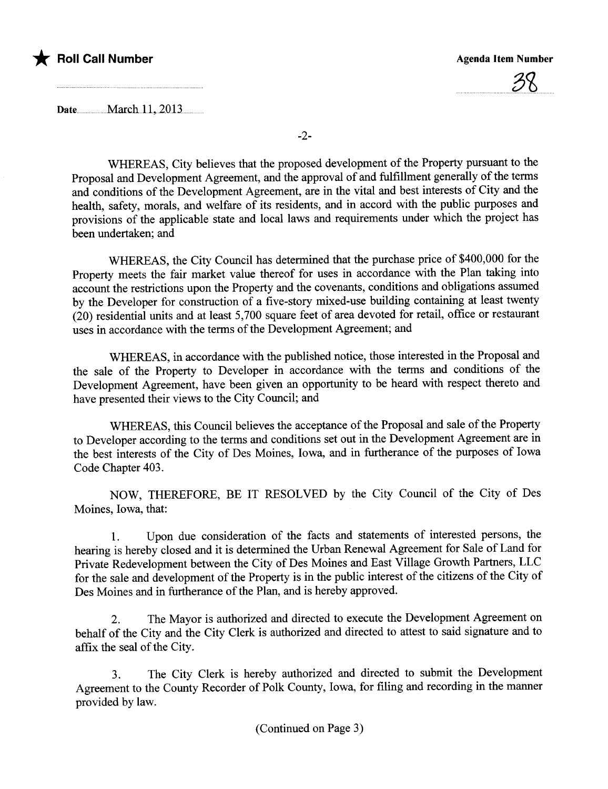

## the Roll Call Number Agenda Item Number Agenda Item Number



Date<sub>um</sub>March 11, 2013

-2-

WHEREAS, City believes that the proposed development of the Property pursuant to the Proposal and Development Agreement, and the approval of and fulfillment generally of the terms and conditions of the Development Agreement, are in the vital and best interests of City and the health, safety, morals, and welfare of its residents, and in accord with the public puroses and provisions of the applicable state and local laws and requirements under which the project has been undertaken; and

WHEREAS, the City Council has determined that the purchase price of \$400,000 for the Property meets the fair market value thereof for uses in accordance with the Plan taking into account the restrictions upon the Property and the covenants, conditions and obligations assumed by the Developer for construction of a five-story mixed-use building containing at least twenty (20) residential units and at least 5,700 square feet of area devoted for retail, office or restaurant uses in accordance with the terms of the Development Agreement; and

WHEREAS, in accordance with the published notice, those interested in the Proposal and the sale of the Property to Developer in accordance with the terms and conditions of the Development Agreement, have been given an opportunity to be heard with respect thereto and have presented their views to the City Council; and

WHEREAS, this Council believes the acceptance of the Proposal and sale of the Property to Developer according to the terms and conditions set out in the Development Agreement are in the best interests of the City of Des Moines, Iowa, and in furtherance of the purposes of Iowa Code Chapter 403.

NOW, THEREFORE, BE IT RESOLVED by the City Council of the City of Des Moines, Iowa, that:

1. Upon due consideration of the facts and statements of interested persons, the hearing is hereby closed and it is determined the Urban Renewal Agreement for Sale of Land for Private Redevelopment between the City of Des Moines and East Vilage Growth Parners, LLC for the sale and development of the Property is in the public interest of the citizens of the City of Des Moines and in furtherance of the Plan, and is hereby approved.

2. The Mayor is authorized and directed to execute the Development Agreement on behalf of the City and the City Clerk is authorized and directed to attest to said signature and to affix the seal of the City.

3. The City Clerk is hereby authorized and directed to submit the Development Agreement to the County Recorder of Polk County, Iowa, for filing and recording in the maner provided by law.

(Continued on Page 3)